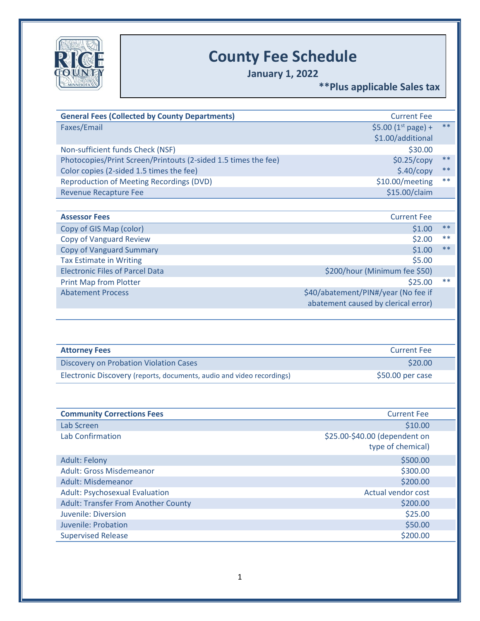

## **County Fee Schedule**

**January 1, 2022**

**\*\*Plus applicable Sales tax**

|                                                                       | <b>Current Fee</b>                  |       |
|-----------------------------------------------------------------------|-------------------------------------|-------|
| Faxes/Email                                                           | \$5.00 ( $1^{\text{st}}$ page) +    | $***$ |
|                                                                       | \$1.00/additional                   |       |
| Non-sufficient funds Check (NSF)                                      | \$30.00                             |       |
| Photocopies/Print Screen/Printouts (2-sided 1.5 times the fee)        | \$0.25/copy                         | $***$ |
| Color copies (2-sided 1.5 times the fee)                              | \$.40/copy                          | $***$ |
| <b>Reproduction of Meeting Recordings (DVD)</b>                       | \$10.00/meeting                     | $**$  |
| <b>Revenue Recapture Fee</b>                                          | \$15.00/claim                       |       |
| <b>Assessor Fees</b>                                                  | <b>Current Fee</b>                  |       |
| Copy of GIS Map (color)                                               | \$1.00                              | $***$ |
| Copy of Vanguard Review                                               | \$2.00                              | $**$  |
| <b>Copy of Vanguard Summary</b>                                       | \$1.00                              | **    |
| <b>Tax Estimate in Writing</b>                                        | \$5.00                              |       |
| <b>Electronic Files of Parcel Data</b>                                | \$200/hour (Minimum fee \$50)       |       |
| Print Map from Plotter                                                | \$25.00                             | $***$ |
| <b>Abatement Process</b>                                              | \$40/abatement/PIN#/year (No fee if |       |
|                                                                       | abatement caused by clerical error) |       |
|                                                                       |                                     |       |
| <b>Attorney Fees</b>                                                  | <b>Current Fee</b>                  |       |
| <b>Discovery on Probation Violation Cases</b>                         | \$20.00                             |       |
| Electronic Discovery (reports, documents, audio and video recordings) | \$50.00 per case                    |       |
|                                                                       |                                     |       |
| <b>Community Corrections Fees</b>                                     | <b>Current Fee</b>                  |       |
| Lab Screen                                                            | \$10.00                             |       |
| <b>Lab Confirmation</b>                                               | \$25.00-\$40.00 (dependent on       |       |
|                                                                       | type of chemical)                   |       |
| <b>Adult: Felony</b>                                                  | \$500.00                            |       |
| <b>Adult: Gross Misdemeanor</b>                                       | \$300.00                            |       |
| Adult: Misdemeanor                                                    | \$200.00                            |       |
| <b>Adult: Psychosexual Evaluation</b>                                 | <b>Actual vendor cost</b>           |       |
| <b>Adult: Transfer From Another County</b>                            | \$200.00                            |       |
| <b>Juvenile: Diversion</b>                                            | \$25.00                             |       |
| Juvenile: Probation                                                   | \$50.00                             |       |
| <b>Supervised Release</b>                                             | \$200.00                            |       |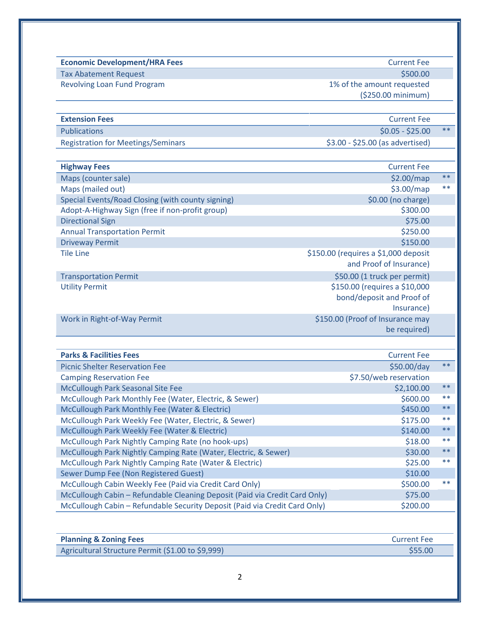| <b>Economic Development/HRA Fees</b>                                                   | <b>Current Fee</b>                   |       |
|----------------------------------------------------------------------------------------|--------------------------------------|-------|
| <b>Tax Abatement Request</b>                                                           | \$500.00                             |       |
| <b>Revolving Loan Fund Program</b>                                                     | 1% of the amount requested           |       |
|                                                                                        | (\$250.00 minimum)                   |       |
| <b>Extension Fees</b>                                                                  | <b>Current Fee</b>                   |       |
| <b>Publications</b>                                                                    | $$0.05 - $25.00$                     | $***$ |
| <b>Registration for Meetings/Seminars</b>                                              | \$3.00 - \$25.00 (as advertised)     |       |
| <b>Highway Fees</b>                                                                    | <b>Current Fee</b>                   |       |
| Maps (counter sale)                                                                    | \$2.00/map                           | $***$ |
| Maps (mailed out)                                                                      | \$3.00/map                           | $***$ |
| Special Events/Road Closing (with county signing)                                      | \$0.00 (no charge)                   |       |
| Adopt-A-Highway Sign (free if non-profit group)                                        | \$300.00                             |       |
| <b>Directional Sign</b>                                                                | \$75.00                              |       |
| <b>Annual Transportation Permit</b>                                                    | \$250.00                             |       |
| <b>Driveway Permit</b>                                                                 | \$150.00                             |       |
| <b>Tile Line</b>                                                                       | \$150.00 (requires a \$1,000 deposit |       |
|                                                                                        | and Proof of Insurance)              |       |
| <b>Transportation Permit</b>                                                           | \$50.00 (1 truck per permit)         |       |
| <b>Utility Permit</b>                                                                  | \$150.00 (requires a \$10,000        |       |
|                                                                                        | bond/deposit and Proof of            |       |
|                                                                                        | Insurance)                           |       |
| Work in Right-of-Way Permit                                                            | \$150.00 (Proof of Insurance may     |       |
|                                                                                        | be required)                         |       |
| <b>Parks &amp; Facilities Fees</b>                                                     | <b>Current Fee</b>                   |       |
| <b>Picnic Shelter Reservation Fee</b>                                                  | \$50.00/day                          |       |
| <b>Camping Reservation Fee</b>                                                         | \$7.50/web reservation               |       |
| McCullough Park Seasonal Site Fee                                                      | \$2,100.00                           |       |
| McCullough Park Monthly Fee (Water, Electric, & Sewer)                                 | \$600.00                             |       |
| McCullough Park Monthly Fee (Water & Electric)                                         | \$450.00                             |       |
| McCullough Park Weekly Fee (Water, Electric, & Sewer)                                  | \$175.00                             |       |
| McCullough Park Weekly Fee (Water & Electric)                                          | \$140.00                             |       |
| McCullough Park Nightly Camping Rate (no hook-ups)                                     | \$18.00                              |       |
| McCullough Park Nightly Camping Rate (Water, Electric, & Sewer)                        | \$30.00                              |       |
| McCullough Park Nightly Camping Rate (Water & Electric)                                | \$25.00                              |       |
| Sewer Dump Fee (Non Registered Guest)                                                  | \$10.00                              |       |
| McCullough Cabin Weekly Fee (Paid via Credit Card Only)                                | \$500.00                             |       |
| McCullough Cabin - Refundable Cleaning Deposit (Paid via Credit Card Only)             | \$75.00                              |       |
| McCullough Cabin - Refundable Security Deposit (Paid via Credit Card Only)             | \$200.00                             |       |
|                                                                                        |                                      |       |
|                                                                                        |                                      |       |
| <b>Planning &amp; Zoning Fees</b><br>Agricultural Structure Permit (\$1.00 to \$9,999) | <b>Current Fee</b><br>\$55.00        |       |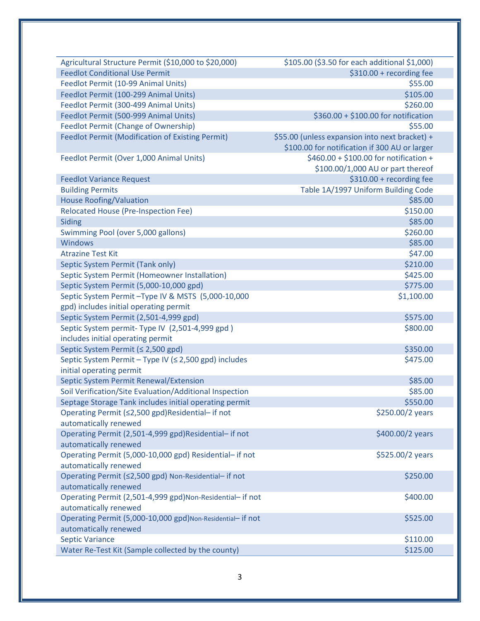| Agricultural Structure Permit (\$10,000 to \$20,000)        | \$105.00 (\$3.50 for each additional \$1,000)  |
|-------------------------------------------------------------|------------------------------------------------|
| <b>Feedlot Conditional Use Permit</b>                       | \$310.00 + recording fee                       |
| Feedlot Permit (10-99 Animal Units)                         | \$55.00                                        |
| Feedlot Permit (100-299 Animal Units)                       | \$105.00                                       |
| Feedlot Permit (300-499 Animal Units)                       | \$260.00                                       |
| Feedlot Permit (500-999 Animal Units)                       | \$360.00 + \$100.00 for notification           |
| <b>Feedlot Permit (Change of Ownership)</b>                 | \$55.00                                        |
| <b>Feedlot Permit (Modification of Existing Permit)</b>     | \$55.00 (unless expansion into next bracket) + |
|                                                             | \$100.00 for notification if 300 AU or larger  |
| Feedlot Permit (Over 1,000 Animal Units)                    | \$460.00 + \$100.00 for notification +         |
|                                                             | \$100.00/1,000 AU or part thereof              |
| <b>Feedlot Variance Request</b>                             | \$310.00 + recording fee                       |
| <b>Building Permits</b>                                     | Table 1A/1997 Uniform Building Code            |
| <b>House Roofing/Valuation</b>                              | \$85.00                                        |
| <b>Relocated House (Pre-Inspection Fee)</b>                 | \$150.00                                       |
| Siding                                                      | \$85.00                                        |
| Swimming Pool (over 5,000 gallons)                          | \$260.00                                       |
| <b>Windows</b>                                              | \$85.00                                        |
| <b>Atrazine Test Kit</b>                                    | \$47.00                                        |
| Septic System Permit (Tank only)                            | \$210.00                                       |
| Septic System Permit (Homeowner Installation)               | \$425.00                                       |
| Septic System Permit (5,000-10,000 gpd)                     | \$775.00                                       |
| Septic System Permit-Type IV & MSTS (5,000-10,000           | \$1,100.00                                     |
| gpd) includes initial operating permit                      |                                                |
| Septic System Permit (2,501-4,999 gpd)                      | \$575.00                                       |
| Septic System permit- Type IV (2,501-4,999 gpd)             | \$800.00                                       |
| includes initial operating permit                           |                                                |
| Septic System Permit (≤ 2,500 gpd)                          | \$350.00                                       |
| Septic System Permit - Type IV (≤ 2,500 gpd) includes       | \$475.00                                       |
| initial operating permit                                    |                                                |
| Septic System Permit Renewal/Extension                      | \$85.00                                        |
| Soil Verification/Site Evaluation/Additional Inspection     | \$85.00                                        |
| Septage Storage Tank includes initial operating permit      | \$550.00                                       |
| Operating Permit (≤2,500 gpd)Residential- if not            | \$250.00/2 years                               |
| automatically renewed                                       |                                                |
| Operating Permit (2,501-4,999 gpd)Residential- if not       | \$400.00/2 years                               |
| automatically renewed                                       |                                                |
| Operating Permit (5,000-10,000 gpd) Residential- if not     | \$525.00/2 years                               |
| automatically renewed                                       |                                                |
| Operating Permit (≤2,500 gpd) Non-Residential- if not       | \$250.00                                       |
| automatically renewed                                       |                                                |
| Operating Permit (2,501-4,999 gpd)Non-Residential- if not   | \$400.00                                       |
| automatically renewed                                       |                                                |
| Operating Permit (5,000-10,000 gpd) Non-Residential- if not | \$525.00                                       |
| automatically renewed                                       |                                                |
| <b>Septic Variance</b>                                      | \$110.00                                       |
| Water Re-Test Kit (Sample collected by the county)          | \$125.00                                       |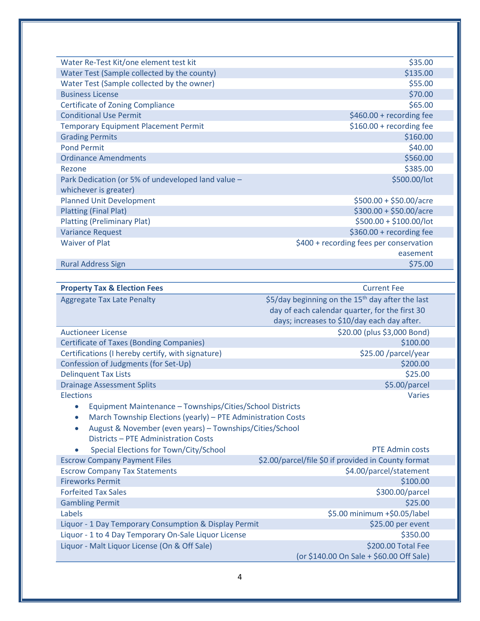| Water Re-Test Kit/one element test kit             | \$35.00                                 |
|----------------------------------------------------|-----------------------------------------|
| Water Test (Sample collected by the county)        | \$135.00                                |
| Water Test (Sample collected by the owner)         | \$55.00                                 |
| <b>Business License</b>                            | \$70.00                                 |
| <b>Certificate of Zoning Compliance</b>            | \$65.00                                 |
| <b>Conditional Use Permit</b>                      | $$460.00 + recording fee$               |
| <b>Temporary Equipment Placement Permit</b>        | \$160.00 + recording fee                |
| <b>Grading Permits</b>                             | \$160.00                                |
| <b>Pond Permit</b>                                 | \$40.00                                 |
| <b>Ordinance Amendments</b>                        | \$560.00                                |
| Rezone                                             | \$385.00                                |
| Park Dedication (or 5% of undeveloped land value - | \$500.00/lot                            |
| whichever is greater)                              |                                         |
| <b>Planned Unit Development</b>                    | $$500.00 + $50.00/$ acre                |
| <b>Platting (Final Plat)</b>                       | $$300.00 + $50.00/$ acre                |
| <b>Platting (Preliminary Plat)</b>                 | $$500.00 + $100.00/$ lot                |
| <b>Variance Request</b>                            | \$360.00 + recording fee                |
| <b>Waiver of Plat</b>                              | \$400 + recording fees per conservation |
|                                                    | easement                                |
| <b>Rural Address Sign</b>                          | \$75.00                                 |

| <b>Property Tax &amp; Election Fees</b>                                                                                                                                                                                                    | <b>Current Fee</b>                                                                                                                                            |
|--------------------------------------------------------------------------------------------------------------------------------------------------------------------------------------------------------------------------------------------|---------------------------------------------------------------------------------------------------------------------------------------------------------------|
| <b>Aggregate Tax Late Penalty</b>                                                                                                                                                                                                          | \$5/day beginning on the 15 <sup>th</sup> day after the last<br>day of each calendar quarter, for the first 30<br>days; increases to \$10/day each day after. |
| <b>Auctioneer License</b>                                                                                                                                                                                                                  | \$20.00 (plus \$3,000 Bond)                                                                                                                                   |
| <b>Certificate of Taxes (Bonding Companies)</b>                                                                                                                                                                                            | \$100.00                                                                                                                                                      |
| Certifications (I hereby certify, with signature)                                                                                                                                                                                          | \$25.00 /parcel/year                                                                                                                                          |
| Confession of Judgments (for Set-Up)                                                                                                                                                                                                       | \$200.00                                                                                                                                                      |
| <b>Delinquent Tax Lists</b>                                                                                                                                                                                                                | \$25.00                                                                                                                                                       |
| <b>Drainage Assessment Splits</b>                                                                                                                                                                                                          | \$5.00/parcel                                                                                                                                                 |
| <b>Elections</b>                                                                                                                                                                                                                           | <b>Varies</b>                                                                                                                                                 |
| Equipment Maintenance - Townships/Cities/School Districts<br>March Township Elections (yearly) - PTE Administration Costs<br>$\bullet$<br>August & November (even years) - Townships/Cities/School<br>Districts - PTE Administration Costs |                                                                                                                                                               |
| Special Elections for Town/City/School                                                                                                                                                                                                     | <b>PTE Admin costs</b>                                                                                                                                        |
| <b>Escrow Company Payment Files</b>                                                                                                                                                                                                        | \$2.00/parcel/file \$0 if provided in County format                                                                                                           |
| <b>Escrow Company Tax Statements</b>                                                                                                                                                                                                       | \$4.00/parcel/statement                                                                                                                                       |
| <b>Fireworks Permit</b>                                                                                                                                                                                                                    | \$100.00                                                                                                                                                      |
| <b>Forfeited Tax Sales</b>                                                                                                                                                                                                                 | \$300.00/parcel                                                                                                                                               |
| <b>Gambling Permit</b>                                                                                                                                                                                                                     | \$25.00                                                                                                                                                       |
| Labels                                                                                                                                                                                                                                     | \$5.00 minimum +\$0.05/label                                                                                                                                  |
| Liquor - 1 Day Temporary Consumption & Display Permit                                                                                                                                                                                      | \$25.00 per event                                                                                                                                             |
| Liquor - 1 to 4 Day Temporary On-Sale Liquor License                                                                                                                                                                                       | \$350.00                                                                                                                                                      |
| Liquor - Malt Liquor License (On & Off Sale)                                                                                                                                                                                               | \$200.00 Total Fee<br>(or \$140.00 On Sale + \$60.00 Off Sale)                                                                                                |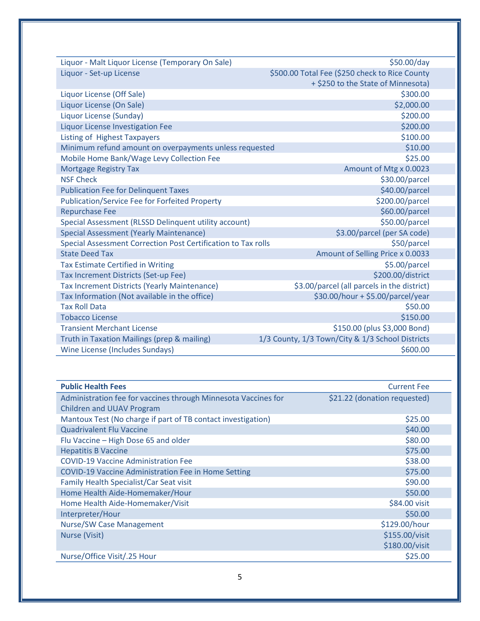| Liquor - Malt Liquor License (Temporary On Sale)              | \$50.00/day                                      |  |
|---------------------------------------------------------------|--------------------------------------------------|--|
| Liquor - Set-up License                                       | \$500.00 Total Fee (\$250 check to Rice County   |  |
|                                                               | + \$250 to the State of Minnesota)               |  |
| Liquor License (Off Sale)                                     | \$300.00                                         |  |
| Liquor License (On Sale)                                      | \$2,000.00                                       |  |
| Liquor License (Sunday)                                       | \$200.00                                         |  |
| <b>Liquor License Investigation Fee</b>                       | \$200.00                                         |  |
| <b>Listing of Highest Taxpayers</b>                           | \$100.00                                         |  |
| Minimum refund amount on overpayments unless requested        | \$10.00                                          |  |
| Mobile Home Bank/Wage Levy Collection Fee                     | \$25.00                                          |  |
| <b>Mortgage Registry Tax</b>                                  | Amount of Mtg x 0.0023                           |  |
| <b>NSF Check</b>                                              | \$30.00/parcel                                   |  |
| <b>Publication Fee for Delinquent Taxes</b>                   | \$40.00/parcel                                   |  |
| <b>Publication/Service Fee for Forfeited Property</b>         | \$200.00/parcel                                  |  |
| <b>Repurchase Fee</b>                                         | \$60.00/parcel                                   |  |
| Special Assessment (RLSSD Delinquent utility account)         | \$50.00/parcel                                   |  |
| <b>Special Assessment (Yearly Maintenance)</b>                | \$3.00/parcel (per SA code)                      |  |
| Special Assessment Correction Post Certification to Tax rolls | \$50/parcel                                      |  |
| <b>State Deed Tax</b>                                         | Amount of Selling Price x 0.0033                 |  |
| <b>Tax Estimate Certified in Writing</b>                      | \$5.00/parcel                                    |  |
| Tax Increment Districts (Set-up Fee)                          | \$200.00/district                                |  |
| <b>Tax Increment Districts (Yearly Maintenance)</b>           | \$3.00/parcel (all parcels in the district)      |  |
| Tax Information (Not available in the office)                 | \$30.00/hour + \$5.00/parcel/year                |  |
| <b>Tax Roll Data</b>                                          | \$50.00                                          |  |
| <b>Tobacco License</b>                                        | \$150.00                                         |  |
| <b>Transient Merchant License</b>                             | \$150.00 (plus \$3,000 Bond)                     |  |
| Truth in Taxation Mailings (prep & mailing)                   | 1/3 County, 1/3 Town/City & 1/3 School Districts |  |
| <b>Wine License (Includes Sundays)</b>                        | \$600.00                                         |  |
|                                                               |                                                  |  |

| <b>Public Health Fees</b>                                      | <b>Current Fee</b>           |
|----------------------------------------------------------------|------------------------------|
| Administration fee for vaccines through Minnesota Vaccines for | \$21.22 (donation requested) |
| <b>Children and UUAV Program</b>                               |                              |
| Mantoux Test (No charge if part of TB contact investigation)   | \$25.00                      |
| <b>Quadrivalent Flu Vaccine</b>                                | \$40.00                      |
| Flu Vaccine - High Dose 65 and older                           | \$80.00                      |
| <b>Hepatitis B Vaccine</b>                                     | \$75.00                      |
| <b>COVID-19 Vaccine Administration Fee</b>                     | \$38.00                      |
| <b>COVID-19 Vaccine Administration Fee in Home Setting</b>     | \$75.00                      |
| Family Health Specialist/Car Seat visit                        | \$90.00                      |
| Home Health Aide-Homemaker/Hour                                | \$50.00                      |
| Home Health Aide-Homemaker/Visit                               | \$84.00 visit                |
| Interpreter/Hour                                               | \$50.00                      |
| <b>Nurse/SW Case Management</b>                                | \$129.00/hour                |
| Nurse (Visit)                                                  | \$155.00/visit               |
|                                                                | \$180.00/visit               |
| Nurse/Office Visit/.25 Hour                                    | \$25.00                      |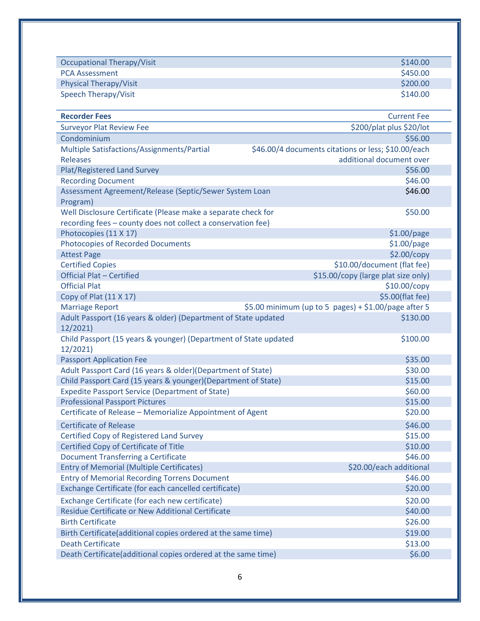| <b>Occupational Therapy/Visit</b>                                            | \$140.00                                             |
|------------------------------------------------------------------------------|------------------------------------------------------|
| <b>PCA Assessment</b>                                                        | \$450.00                                             |
| <b>Physical Therapy/Visit</b>                                                | \$200.00                                             |
| Speech Therapy/Visit                                                         | \$140.00                                             |
|                                                                              |                                                      |
| <b>Recorder Fees</b>                                                         | <b>Current Fee</b>                                   |
| <b>Surveyor Plat Review Fee</b>                                              | \$200/plat plus \$20/lot                             |
| Condominium                                                                  | \$56.00                                              |
| Multiple Satisfactions/Assignments/Partial                                   | \$46.00/4 documents citations or less; \$10.00/each  |
| <b>Releases</b>                                                              | additional document over                             |
| <b>Plat/Registered Land Survey</b>                                           | \$56.00                                              |
| <b>Recording Document</b>                                                    | \$46.00                                              |
| Assessment Agreement/Release (Septic/Sewer System Loan                       | \$46.00                                              |
| Program)                                                                     |                                                      |
| Well Disclosure Certificate (Please make a separate check for                | \$50.00                                              |
| recording fees - county does not collect a conservation fee)                 |                                                      |
| Photocopies (11 X 17)                                                        | $$1.00$ /page                                        |
| <b>Photocopies of Recorded Documents</b>                                     | \$1.00/page                                          |
| <b>Attest Page</b>                                                           | \$2.00/copy                                          |
| <b>Certified Copies</b>                                                      | \$10.00/document (flat fee)                          |
| <b>Official Plat - Certified</b>                                             | \$15.00/copy (large plat size only)                  |
| <b>Official Plat</b>                                                         | \$10.00/copy                                         |
| Copy of Plat (11 X 17)                                                       | \$5.00(flat fee)                                     |
| <b>Marriage Report</b>                                                       | \$5.00 minimum (up to 5 pages) + \$1.00/page after 5 |
| Adult Passport (16 years & older) (Department of State updated<br>12/2021)   | \$130.00                                             |
| Child Passport (15 years & younger) (Department of State updated<br>12/2021) | \$100.00                                             |
| <b>Passport Application Fee</b>                                              | \$35.00                                              |
| Adult Passport Card (16 years & older)(Department of State)                  | \$30.00                                              |
| Child Passport Card (15 years & younger) (Department of State)               | \$15.00                                              |
| <b>Expedite Passport Service (Department of State)</b>                       | \$60.00                                              |
| <b>Professional Passport Pictures</b>                                        | \$15.00                                              |
| Certificate of Release - Memorialize Appointment of Agent                    | \$20.00                                              |
| <b>Certificate of Release</b>                                                | \$46.00                                              |
| Certified Copy of Registered Land Survey                                     | \$15.00                                              |
| Certified Copy of Certificate of Title                                       | \$10.00                                              |
| <b>Document Transferring a Certificate</b>                                   | \$46.00                                              |
| <b>Entry of Memorial (Multiple Certificates)</b>                             | \$20.00/each additional                              |
| <b>Entry of Memorial Recording Torrens Document</b>                          | \$46.00                                              |
| Exchange Certificate (for each cancelled certificate)                        | \$20.00                                              |
| Exchange Certificate (for each new certificate)                              | \$20.00                                              |
| Residue Certificate or New Additional Certificate                            | \$40.00                                              |
| <b>Birth Certificate</b>                                                     | \$26.00                                              |
| Birth Certificate(additional copies ordered at the same time)                | \$19.00                                              |
| <b>Death Certificate</b>                                                     | \$13.00                                              |
| Death Certificate(additional copies ordered at the same time)                | \$6.00                                               |
|                                                                              |                                                      |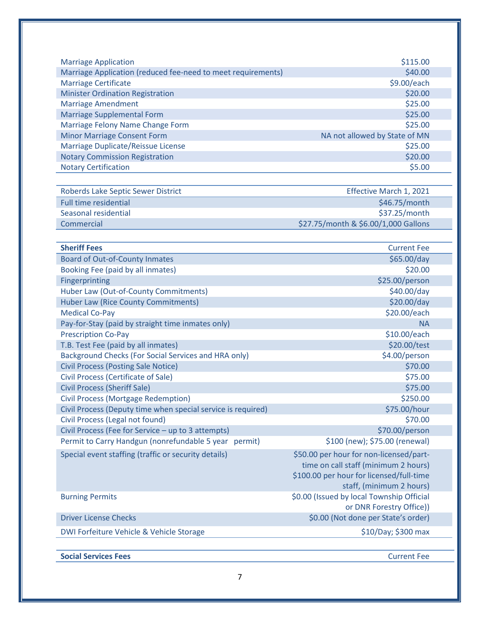| <b>Marriage Application</b>                                  | \$115.00                                  |
|--------------------------------------------------------------|-------------------------------------------|
| Marriage Application (reduced fee-need to meet requirements) | \$40.00                                   |
| <b>Marriage Certificate</b>                                  | \$9.00/each                               |
| <b>Minister Ordination Registration</b>                      | \$20.00                                   |
| <b>Marriage Amendment</b>                                    | \$25.00                                   |
| <b>Marriage Supplemental Form</b>                            | \$25.00                                   |
| Marriage Felony Name Change Form                             | \$25.00                                   |
| <b>Minor Marriage Consent Form</b>                           | NA not allowed by State of MN             |
| Marriage Duplicate/Reissue License                           | \$25.00                                   |
| <b>Notary Commission Registration</b>                        | \$20.00                                   |
| <b>Notary Certification</b>                                  | \$5.00                                    |
| Roberds Lake Septic Sewer District                           | Effective March 1, 2021                   |
| <b>Full time residential</b>                                 | \$46.75/month                             |
| Seasonal residential                                         | \$37.25/month                             |
| Commercial                                                   | \$27.75/month & \$6.00/1,000 Gallons      |
|                                                              |                                           |
| <b>Sheriff Fees</b>                                          | <b>Current Fee</b>                        |
| <b>Board of Out-of-County Inmates</b>                        | \$65.00/day                               |
| Booking Fee (paid by all inmates)                            | \$20.00                                   |
| Fingerprinting                                               | \$25.00/person                            |
| Huber Law (Out-of-County Commitments)                        | \$40.00/day                               |
| <b>Huber Law (Rice County Commitments)</b>                   | \$20.00/day                               |
| <b>Medical Co-Pay</b>                                        | \$20.00/each                              |
| Pay-for-Stay (paid by straight time inmates only)            | <b>NA</b>                                 |
| <b>Prescription Co-Pay</b>                                   | \$10.00/each                              |
| T.B. Test Fee (paid by all inmates)                          | \$20.00/test                              |
| Background Checks (For Social Services and HRA only)         | \$4.00/person                             |
| <b>Civil Process (Posting Sale Notice)</b>                   | \$70.00                                   |
| Civil Process (Certificate of Sale)                          | \$75.00                                   |
| <b>Civil Process (Sheriff Sale)</b>                          | \$75.00                                   |
| <b>Civil Process (Mortgage Redemption)</b>                   | \$250.00                                  |
| Civil Process (Deputy time when special service is required) | \$75.00/hour                              |
| Civil Process (Legal not found)                              | \$70.00                                   |
| Civil Process (Fee for Service - up to 3 attempts)           | \$70.00/person                            |
| Permit to Carry Handgun (nonrefundable 5 year permit)        | \$100 (new); \$75.00 (renewal)            |
| Special event staffing (traffic or security details)         | \$50.00 per hour for non-licensed/part-   |
|                                                              | time on call staff (minimum 2 hours)      |
|                                                              | \$100.00 per hour for licensed/full-time  |
|                                                              | staff, (minimum 2 hours)                  |
| <b>Burning Permits</b>                                       | \$0.00 (Issued by local Township Official |
|                                                              | or DNR Forestry Office))                  |
| <b>Driver License Checks</b>                                 | \$0.00 (Not done per State's order)       |
|                                                              |                                           |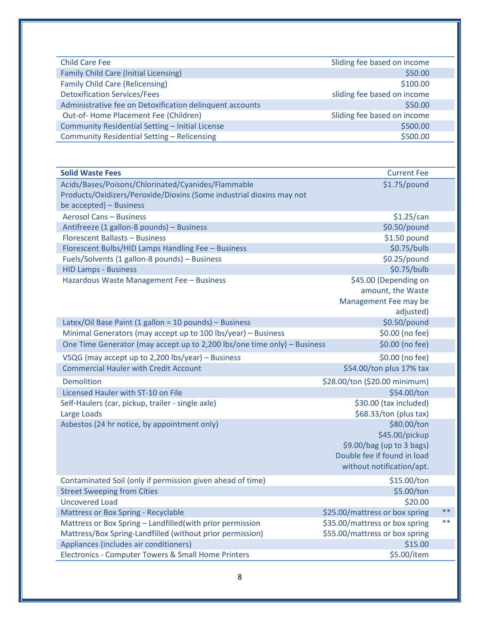| <b>Child Care Fee</b>                                                    | Sliding fee based on income    |       |
|--------------------------------------------------------------------------|--------------------------------|-------|
| <b>Family Child Care (Initial Licensing)</b>                             | \$50.00                        |       |
| <b>Family Child Care (Relicensing)</b>                                   | \$100.00                       |       |
| <b>Detoxification Services/Fees</b>                                      | sliding fee based on income    |       |
| Administrative fee on Detoxification delinquent accounts                 | \$50.00                        |       |
| Out-of-Home Placement Fee (Children)                                     | Sliding fee based on income    |       |
| Community Residential Setting - Initial License                          | \$500.00                       |       |
| Community Residential Setting - Relicensing                              | \$500.00                       |       |
|                                                                          |                                |       |
| <b>Solid Waste Fees</b>                                                  | <b>Current Fee</b>             |       |
| Acids/Bases/Poisons/Chlorinated/Cyanides/Flammable                       | $$1.75$ /pound                 |       |
| Products/Oxidizers/Peroxide/Dioxins (Some industrial dioxins may not     |                                |       |
| be accepted) - Business                                                  |                                |       |
| <b>Aerosol Cans - Business</b>                                           | \$1.25/can                     |       |
| Antifreeze (1 gallon-8 pounds) - Business                                | \$0.50/pound                   |       |
| Florescent Ballasts - Business                                           | \$1.50 pound                   |       |
| Florescent Bulbs/HID Lamps Handling Fee - Business                       | \$0.75/bulb                    |       |
| Fuels/Solvents (1 gallon-8 pounds) - Business                            | $$0.25$ /pound                 |       |
| <b>HID Lamps - Business</b>                                              | \$0.75/bulb                    |       |
| Hazardous Waste Management Fee - Business                                | \$45.00 (Depending on          |       |
|                                                                          | amount, the Waste              |       |
|                                                                          | Management Fee may be          |       |
|                                                                          | adjusted)                      |       |
| Latex/Oil Base Paint (1 gallon = 10 pounds) - Business                   | \$0.50/pound                   |       |
| Minimal Generators (may accept up to 100 lbs/year) - Business            | \$0.00 (no fee)                |       |
| One Time Generator (may accept up to 2,200 lbs/one time only) - Business | \$0.00 (no fee)                |       |
| VSQG (may accept up to 2,200 lbs/year) - Business                        | \$0.00 (no fee)                |       |
| <b>Commercial Hauler with Credit Account</b>                             | \$54.00/ton plus 17% tax       |       |
|                                                                          |                                |       |
| <b>Demolition</b>                                                        | \$28.00/ton (\$20.00 minimum)  |       |
| Licensed Hauler with ST-10 on File                                       | \$54.00/ton                    |       |
| Self-Haulers (car, pickup, trailer - single axle)                        | \$30.00 (tax included)         |       |
| Large Loads                                                              | \$68.33/ton (plus tax)         |       |
| Asbestos (24 hr notice, by appointment only)                             | \$80.00/ton                    |       |
|                                                                          | \$45.00/pickup                 |       |
|                                                                          | \$9.00/bag (up to 3 bags)      |       |
|                                                                          | Double fee if found in load    |       |
|                                                                          | without notification/apt.      |       |
| Contaminated Soil (only if permission given ahead of time)               | \$15.00/ton                    |       |
| <b>Street Sweeping from Cities</b>                                       | \$5.00/ton                     |       |
| <b>Uncovered Load</b>                                                    | \$20.00                        |       |
| Mattress or Box Spring - Recyclable                                      | \$25.00/mattress or box spring | $***$ |
| Mattress or Box Spring - Landfilled (with prior permission               | \$35.00/mattress or box spring | $***$ |
|                                                                          | \$55.00/mattress or box spring |       |
| Mattress/Box Spring-Landfilled (without prior permission)                |                                |       |
| Appliances (includes air conditioners)                                   | \$15.00                        |       |